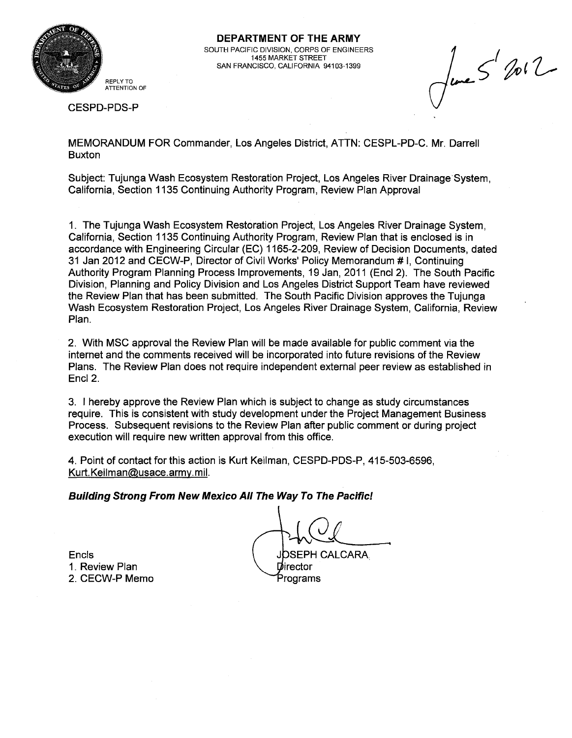

**DEPARTMENT OF THE ARMY**  SOUTH PACIFIC DIVISION, CORPS OF ENGINEERS 1455 MARKET STREET SAN FRANCISCO, CALIFORNIA 94103-1399

 $\int_{\text{true}}$   $5^{1}$  for  $2$ 

CESPD-PDS-P

MEMORANDUM FOR Commander, Los Angeles District, ATTN: CESPL-PD-C. Mr. Darrell **Buxton** 

Subject: Tujunga Wash Ecosystem Restoration Project, Los Angeles River Drainage System, California, Section 1135 Continuing Authority Program, Review Plan Approval

1. The Tujunga Wash Ecosystem Restoration Project, Los Angeles River Drainage System, California, Section 1135 Continuing Authority Program, Review Plan that is enclosed is in accordance with Engineering Circular (EC) 1165-2-209, Review of Decision Documents, dated 31 Jan 2012 and CECW-P, Director of Civil Works' Policy Memorandum # I, Continuing Authority Program Planning Process Improvements, 19 Jan, 2011 (Encl 2). The South Pacific Division, Planning and Policy Division and Los Angeles District Support Team have reviewed the Review Plan that has been submitted. The South Pacific Division approves the Tujunga Wash Ecosystem Restoration Project, Los Angeles River Drainage System, California, Review Plan.

2. With MSC approval the Review Plan will be made available for public comment via the internet and the comments received will be incorporated into future revisions of the Review Plans. The Review Plan does not require independent external peer review as established in Encl 2.

3. I hereby approve the Review Plan which is subject to change as study circumstances require. This is consistent with study development under the Project Management Business Process. Subsequent revisions to the Review Plan after public comment or during project execution will require new written approval from this office.

4. Point of contact for this action is Kurt Keilman, CESPD-PDS-P, 415-503-6596, Kurt. Keilman@usace.army.mil.

#### **Building Strong From New Mexico All The Way To The Pacific!**

1. Review Plan 2. CECW-P Memo

Encls Separate Separate CALCARA. Director

Programs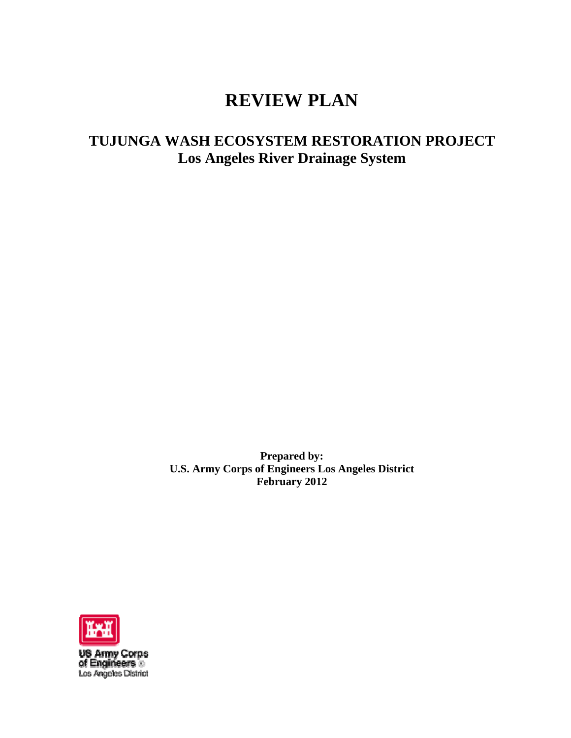# **REVIEW PLAN**

# **TUJUNGA WASH ECOSYSTEM RESTORATION PROJECT Los Angeles River Drainage System**

**Prepared by: U.S. Army Corps of Engineers Los Angeles District February 2012** 



**US Army Corps<br>of Engineers ©**<br>Los Angeles District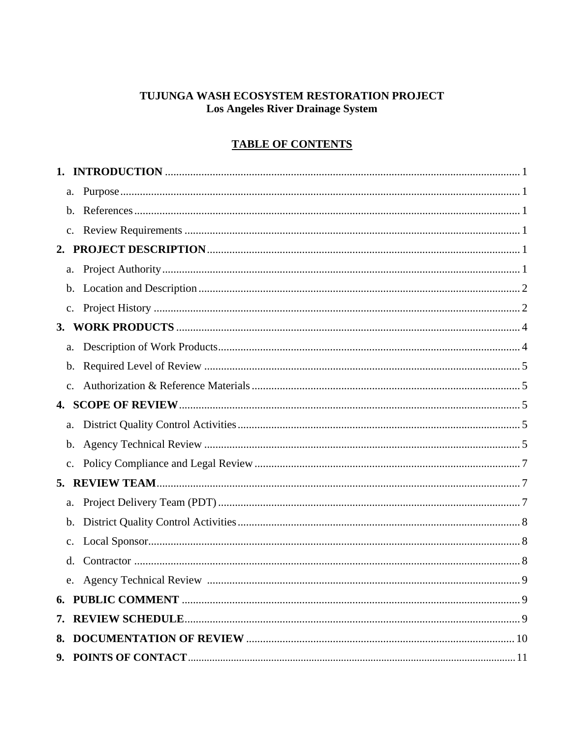## TUJUNGA WASH ECOSYSTEM RESTORATION PROJECT **Los Angeles River Drainage System**

# **TABLE OF CONTENTS**

| a.             |   |
|----------------|---|
| $\mathbf{b}$ . |   |
| c.             |   |
|                |   |
| a.             |   |
| b.             |   |
| $\mathbf{c}$ . |   |
|                |   |
| a.             |   |
| b.             |   |
| $\mathbf{c}$ . |   |
|                |   |
| a.             |   |
| $\mathbf{b}$ . |   |
| $\mathbf{c}$ . |   |
|                |   |
| a.             |   |
| b.             |   |
| c.             |   |
| d.             |   |
| e.             | 9 |
|                |   |
|                |   |
|                |   |
|                |   |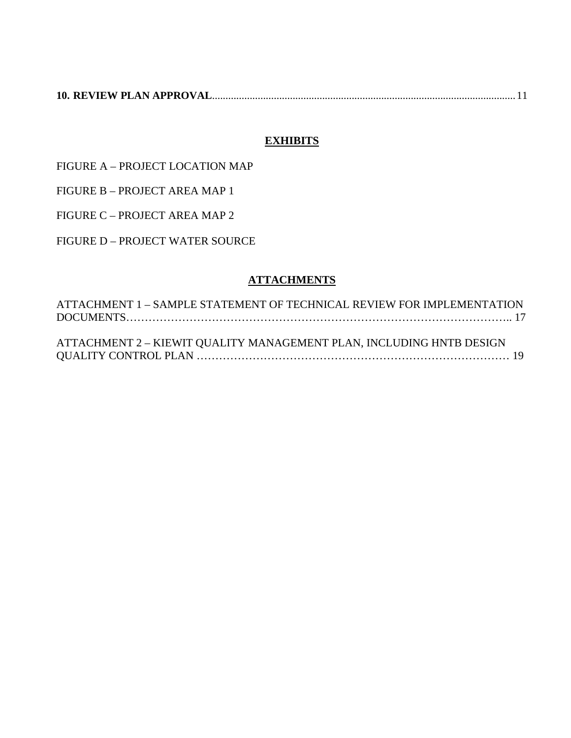|--|--|

# **EXHIBITS**

FIGURE A – PROJECT LOCATION MAP

FIGURE B – PROJECT AREA MAP 1

FIGURE C – PROJECT AREA MAP 2

FIGURE D – PROJECT WATER SOURCE

## **ATTACHMENTS**

ATTACHMENT 1 – SAMPLE STATEMENT OF TECHNICAL REVIEW FOR IMPLEMENTATION DOCUMENTS………………………………………………………………………………………….. 17 ATTACHMENT 2 – KIEWIT QUALITY MANAGEMENT PLAN, INCLUDING HNTB DESIGN QUALITY CONTROL PLAN ………………………………………………………………………… 19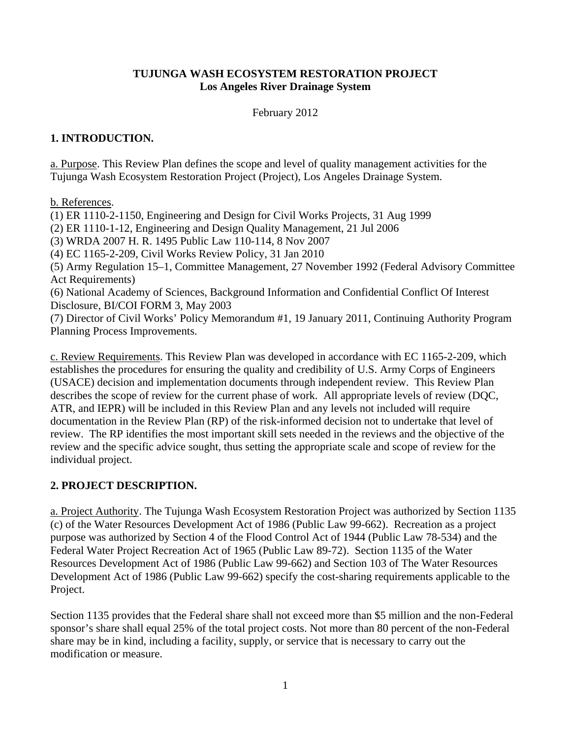### **TUJUNGA WASH ECOSYSTEM RESTORATION PROJECT Los Angeles River Drainage System**

February 2012

### **1. INTRODUCTION.**

a. Purpose. This Review Plan defines the scope and level of quality management activities for the Tujunga Wash Ecosystem Restoration Project (Project), Los Angeles Drainage System.

b. References.

(1) ER 1110-2-1150, Engineering and Design for Civil Works Projects, 31 Aug 1999

(2) ER 1110-1-12, Engineering and Design Quality Management, 21 Jul 2006

(3) WRDA 2007 H. R. 1495 Public Law 110-114, 8 Nov 2007

(4) EC 1165-2-209, Civil Works Review Policy, 31 Jan 2010

(5) Army Regulation 15–1, Committee Management, 27 November 1992 (Federal Advisory Committee Act Requirements)

(6) National Academy of Sciences, Background Information and Confidential Conflict Of Interest Disclosure, BI/COI FORM 3, May 2003

(7) Director of Civil Works' Policy Memorandum #1, 19 January 2011, Continuing Authority Program Planning Process Improvements.

c. Review Requirements. This Review Plan was developed in accordance with EC 1165-2-209, which establishes the procedures for ensuring the quality and credibility of U.S. Army Corps of Engineers (USACE) decision and implementation documents through independent review. This Review Plan describes the scope of review for the current phase of work. All appropriate levels of review (DQC, ATR, and IEPR) will be included in this Review Plan and any levels not included will require documentation in the Review Plan (RP) of the risk-informed decision not to undertake that level of review. The RP identifies the most important skill sets needed in the reviews and the objective of the review and the specific advice sought, thus setting the appropriate scale and scope of review for the individual project.

# **2. PROJECT DESCRIPTION.**

a. Project Authority. The Tujunga Wash Ecosystem Restoration Project was authorized by Section 1135 (c) of the Water Resources Development Act of 1986 (Public Law 99-662). Recreation as a project purpose was authorized by Section 4 of the Flood Control Act of 1944 (Public Law 78-534) and the Federal Water Project Recreation Act of 1965 (Public Law 89-72). Section 1135 of the Water Resources Development Act of 1986 (Public Law 99-662) and Section 103 of The Water Resources Development Act of 1986 (Public Law 99-662) specify the cost-sharing requirements applicable to the Project.

Section 1135 provides that the Federal share shall not exceed more than \$5 million and the non-Federal sponsor's share shall equal 25% of the total project costs. Not more than 80 percent of the non-Federal share may be in kind, including a facility, supply, or service that is necessary to carry out the modification or measure.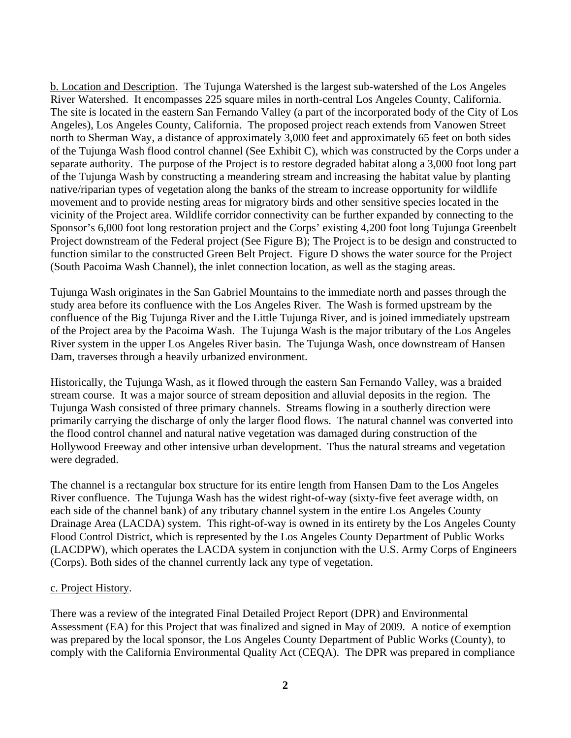b. Location and Description. The Tujunga Watershed is the largest sub-watershed of the Los Angeles River Watershed. It encompasses 225 square miles in north-central Los Angeles County, California. The site is located in the eastern San Fernando Valley (a part of the incorporated body of the City of Los Angeles), Los Angeles County, California. The proposed project reach extends from Vanowen Street north to Sherman Way, a distance of approximately 3,000 feet and approximately 65 feet on both sides of the Tujunga Wash flood control channel (See Exhibit C), which was constructed by the Corps under a separate authority. The purpose of the Project is to restore degraded habitat along a 3,000 foot long part of the Tujunga Wash by constructing a meandering stream and increasing the habitat value by planting native/riparian types of vegetation along the banks of the stream to increase opportunity for wildlife movement and to provide nesting areas for migratory birds and other sensitive species located in the vicinity of the Project area. Wildlife corridor connectivity can be further expanded by connecting to the Sponsor's 6,000 foot long restoration project and the Corps' existing 4,200 foot long Tujunga Greenbelt Project downstream of the Federal project (See Figure B); The Project is to be design and constructed to function similar to the constructed Green Belt Project. Figure D shows the water source for the Project (South Pacoima Wash Channel), the inlet connection location, as well as the staging areas.

Tujunga Wash originates in the San Gabriel Mountains to the immediate north and passes through the study area before its confluence with the Los Angeles River. The Wash is formed upstream by the confluence of the Big Tujunga River and the Little Tujunga River, and is joined immediately upstream of the Project area by the Pacoima Wash. The Tujunga Wash is the major tributary of the Los Angeles River system in the upper Los Angeles River basin. The Tujunga Wash, once downstream of Hansen Dam, traverses through a heavily urbanized environment.

Historically, the Tujunga Wash, as it flowed through the eastern San Fernando Valley, was a braided stream course. It was a major source of stream deposition and alluvial deposits in the region. The Tujunga Wash consisted of three primary channels. Streams flowing in a southerly direction were primarily carrying the discharge of only the larger flood flows. The natural channel was converted into the flood control channel and natural native vegetation was damaged during construction of the Hollywood Freeway and other intensive urban development. Thus the natural streams and vegetation were degraded.

The channel is a rectangular box structure for its entire length from Hansen Dam to the Los Angeles River confluence. The Tujunga Wash has the widest right-of-way (sixty-five feet average width, on each side of the channel bank) of any tributary channel system in the entire Los Angeles County Drainage Area (LACDA) system. This right-of-way is owned in its entirety by the Los Angeles County Flood Control District, which is represented by the Los Angeles County Department of Public Works (LACDPW), which operates the LACDA system in conjunction with the U.S. Army Corps of Engineers (Corps). Both sides of the channel currently lack any type of vegetation.

### c. Project History.

There was a review of the integrated Final Detailed Project Report (DPR) and Environmental Assessment (EA) for this Project that was finalized and signed in May of 2009. A notice of exemption was prepared by the local sponsor, the Los Angeles County Department of Public Works (County), to comply with the California Environmental Quality Act (CEQA). The DPR was prepared in compliance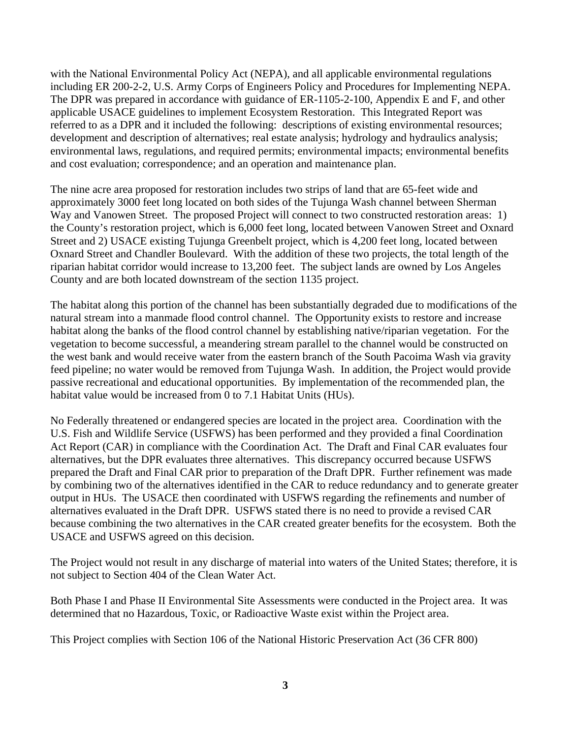with the National Environmental Policy Act (NEPA), and all applicable environmental regulations including ER 200-2-2, U.S. Army Corps of Engineers Policy and Procedures for Implementing NEPA. The DPR was prepared in accordance with guidance of ER-1105-2-100, Appendix E and F, and other applicable USACE guidelines to implement Ecosystem Restoration. This Integrated Report was referred to as a DPR and it included the following: descriptions of existing environmental resources; development and description of alternatives; real estate analysis; hydrology and hydraulics analysis; environmental laws, regulations, and required permits; environmental impacts; environmental benefits and cost evaluation; correspondence; and an operation and maintenance plan.

The nine acre area proposed for restoration includes two strips of land that are 65-feet wide and approximately 3000 feet long located on both sides of the Tujunga Wash channel between Sherman Way and Vanowen Street. The proposed Project will connect to two constructed restoration areas: 1) the County's restoration project, which is 6,000 feet long, located between Vanowen Street and Oxnard Street and 2) USACE existing Tujunga Greenbelt project, which is 4,200 feet long, located between Oxnard Street and Chandler Boulevard. With the addition of these two projects, the total length of the riparian habitat corridor would increase to 13,200 feet. The subject lands are owned by Los Angeles County and are both located downstream of the section 1135 project.

The habitat along this portion of the channel has been substantially degraded due to modifications of the natural stream into a manmade flood control channel. The Opportunity exists to restore and increase habitat along the banks of the flood control channel by establishing native/riparian vegetation. For the vegetation to become successful, a meandering stream parallel to the channel would be constructed on the west bank and would receive water from the eastern branch of the South Pacoima Wash via gravity feed pipeline; no water would be removed from Tujunga Wash. In addition, the Project would provide passive recreational and educational opportunities. By implementation of the recommended plan, the habitat value would be increased from 0 to 7.1 Habitat Units (HUs).

No Federally threatened or endangered species are located in the project area. Coordination with the U.S. Fish and Wildlife Service (USFWS) has been performed and they provided a final Coordination Act Report (CAR) in compliance with the Coordination Act. The Draft and Final CAR evaluates four alternatives, but the DPR evaluates three alternatives. This discrepancy occurred because USFWS prepared the Draft and Final CAR prior to preparation of the Draft DPR. Further refinement was made by combining two of the alternatives identified in the CAR to reduce redundancy and to generate greater output in HUs. The USACE then coordinated with USFWS regarding the refinements and number of alternatives evaluated in the Draft DPR. USFWS stated there is no need to provide a revised CAR because combining the two alternatives in the CAR created greater benefits for the ecosystem. Both the USACE and USFWS agreed on this decision.

The Project would not result in any discharge of material into waters of the United States; therefore, it is not subject to Section 404 of the Clean Water Act.

Both Phase I and Phase II Environmental Site Assessments were conducted in the Project area. It was determined that no Hazardous, Toxic, or Radioactive Waste exist within the Project area.

This Project complies with Section 106 of the National Historic Preservation Act (36 CFR 800)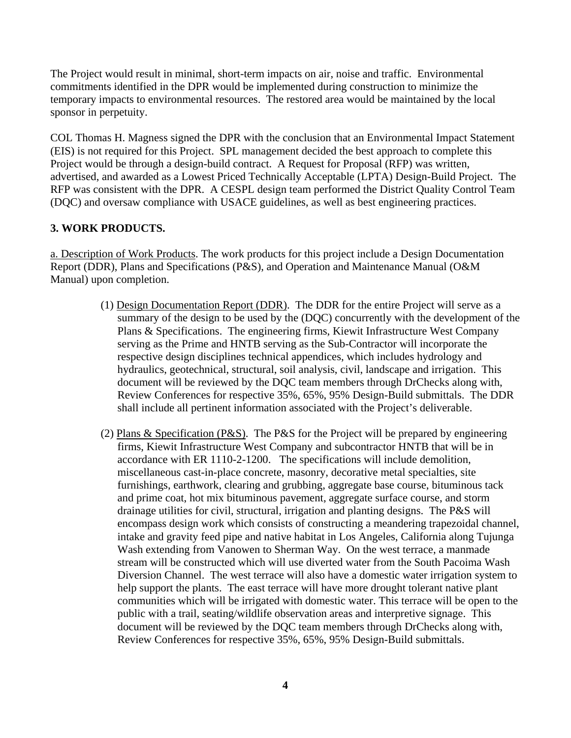The Project would result in minimal, short-term impacts on air, noise and traffic. Environmental commitments identified in the DPR would be implemented during construction to minimize the temporary impacts to environmental resources. The restored area would be maintained by the local sponsor in perpetuity.

COL Thomas H. Magness signed the DPR with the conclusion that an Environmental Impact Statement (EIS) is not required for this Project. SPL management decided the best approach to complete this Project would be through a design-build contract. A Request for Proposal (RFP) was written, advertised, and awarded as a Lowest Priced Technically Acceptable (LPTA) Design-Build Project. The RFP was consistent with the DPR. A CESPL design team performed the District Quality Control Team (DQC) and oversaw compliance with USACE guidelines, as well as best engineering practices.

## **3. WORK PRODUCTS.**

a. Description of Work Products. The work products for this project include a Design Documentation Report (DDR), Plans and Specifications (P&S), and Operation and Maintenance Manual (O&M Manual) upon completion.

- (1) Design Documentation Report (DDR). The DDR for the entire Project will serve as a summary of the design to be used by the (DQC) concurrently with the development of the Plans & Specifications. The engineering firms, Kiewit Infrastructure West Company serving as the Prime and HNTB serving as the Sub-Contractor will incorporate the respective design disciplines technical appendices, which includes hydrology and hydraulics, geotechnical, structural, soil analysis, civil, landscape and irrigation. This document will be reviewed by the DQC team members through DrChecks along with, Review Conferences for respective 35%, 65%, 95% Design-Build submittals. The DDR shall include all pertinent information associated with the Project's deliverable.
- (2) Plans & Specification (P&S). The P&S for the Project will be prepared by engineering firms, Kiewit Infrastructure West Company and subcontractor HNTB that will be in accordance with ER 1110-2-1200. The specifications will include demolition, miscellaneous cast-in-place concrete, masonry, decorative metal specialties, site furnishings, earthwork, clearing and grubbing, aggregate base course, bituminous tack and prime coat, hot mix bituminous pavement, aggregate surface course, and storm drainage utilities for civil, structural, irrigation and planting designs. The P&S will encompass design work which consists of constructing a meandering trapezoidal channel, intake and gravity feed pipe and native habitat in Los Angeles, California along Tujunga Wash extending from Vanowen to Sherman Way. On the west terrace, a manmade stream will be constructed which will use diverted water from the South Pacoima Wash Diversion Channel. The west terrace will also have a domestic water irrigation system to help support the plants. The east terrace will have more drought tolerant native plant communities which will be irrigated with domestic water. This terrace will be open to the public with a trail, seating/wildlife observation areas and interpretive signage. This document will be reviewed by the DQC team members through DrChecks along with, Review Conferences for respective 35%, 65%, 95% Design-Build submittals.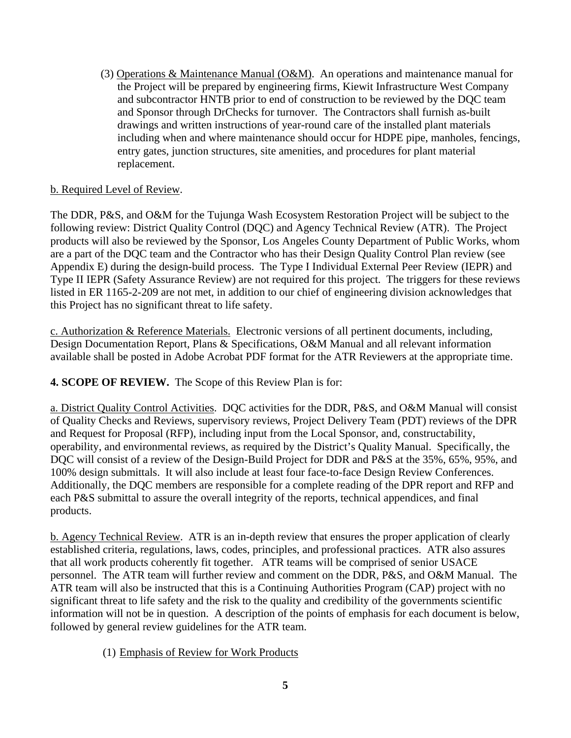(3) Operations & Maintenance Manual (O&M). An operations and maintenance manual for the Project will be prepared by engineering firms, Kiewit Infrastructure West Company and subcontractor HNTB prior to end of construction to be reviewed by the DQC team and Sponsor through DrChecks for turnover. The Contractors shall furnish as-built drawings and written instructions of year-round care of the installed plant materials including when and where maintenance should occur for HDPE pipe, manholes, fencings, entry gates, junction structures, site amenities, and procedures for plant material replacement.

### b. Required Level of Review.

The DDR, P&S, and O&M for the Tujunga Wash Ecosystem Restoration Project will be subject to the following review: District Quality Control (DQC) and Agency Technical Review (ATR). The Project products will also be reviewed by the Sponsor, Los Angeles County Department of Public Works, whom are a part of the DQC team and the Contractor who has their Design Quality Control Plan review (see Appendix E) during the design-build process. The Type I Individual External Peer Review (IEPR) and Type II IEPR (Safety Assurance Review) are not required for this project. The triggers for these reviews listed in ER 1165-2-209 are not met, in addition to our chief of engineering division acknowledges that this Project has no significant threat to life safety.

c. Authorization & Reference Materials. Electronic versions of all pertinent documents, including, Design Documentation Report, Plans & Specifications, O&M Manual and all relevant information available shall be posted in Adobe Acrobat PDF format for the ATR Reviewers at the appropriate time.

**4. SCOPE OF REVIEW.** The Scope of this Review Plan is for:

a. District Quality Control Activities. DQC activities for the DDR, P&S, and O&M Manual will consist of Quality Checks and Reviews, supervisory reviews, Project Delivery Team (PDT) reviews of the DPR and Request for Proposal (RFP), including input from the Local Sponsor, and, constructability, operability, and environmental reviews, as required by the District's Quality Manual. Specifically, the DQC will consist of a review of the Design-Build Project for DDR and P&S at the 35%, 65%, 95%, and 100% design submittals. It will also include at least four face-to-face Design Review Conferences. Additionally, the DQC members are responsible for a complete reading of the DPR report and RFP and each P&S submittal to assure the overall integrity of the reports, technical appendices, and final products.

b. Agency Technical Review. ATR is an in-depth review that ensures the proper application of clearly established criteria, regulations, laws, codes, principles, and professional practices. ATR also assures that all work products coherently fit together. ATR teams will be comprised of senior USACE personnel. The ATR team will further review and comment on the DDR, P&S, and O&M Manual. The ATR team will also be instructed that this is a Continuing Authorities Program (CAP) project with no significant threat to life safety and the risk to the quality and credibility of the governments scientific information will not be in question. A description of the points of emphasis for each document is below, followed by general review guidelines for the ATR team.

(1) Emphasis of Review for Work Products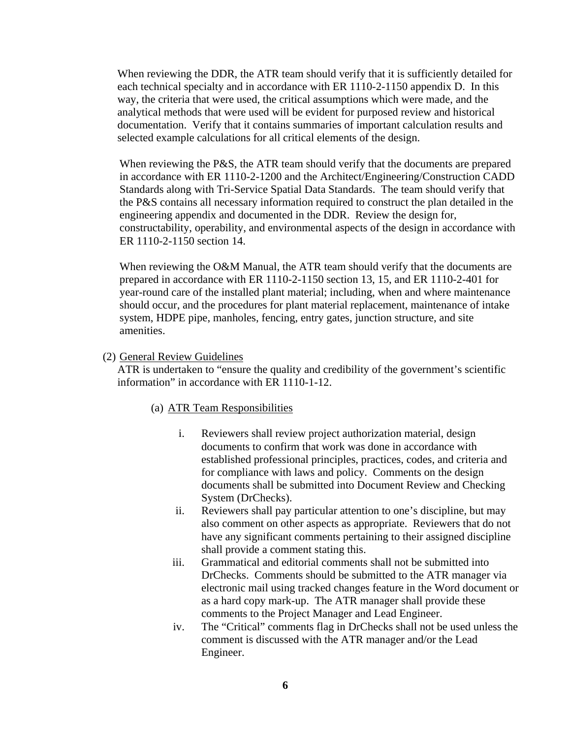When reviewing the DDR, the ATR team should verify that it is sufficiently detailed for each technical specialty and in accordance with ER 1110-2-1150 appendix D. In this way, the criteria that were used, the critical assumptions which were made, and the analytical methods that were used will be evident for purposed review and historical documentation. Verify that it contains summaries of important calculation results and selected example calculations for all critical elements of the design.

When reviewing the P&S, the ATR team should verify that the documents are prepared in accordance with ER 1110-2-1200 and the Architect/Engineering/Construction CADD Standards along with Tri-Service Spatial Data Standards. The team should verify that the P&S contains all necessary information required to construct the plan detailed in the engineering appendix and documented in the DDR. Review the design for, constructability, operability, and environmental aspects of the design in accordance with ER 1110-2-1150 section 14.

When reviewing the O&M Manual, the ATR team should verify that the documents are prepared in accordance with ER 1110-2-1150 section 13, 15, and ER 1110-2-401 for year-round care of the installed plant material; including, when and where maintenance should occur, and the procedures for plant material replacement, maintenance of intake system, HDPE pipe, manholes, fencing, entry gates, junction structure, and site amenities.

#### (2) General Review Guidelines

ATR is undertaken to "ensure the quality and credibility of the government's scientific information" in accordance with ER 1110-1-12.

#### (a) ATR Team Responsibilities

- i. Reviewers shall review project authorization material, design documents to confirm that work was done in accordance with established professional principles, practices, codes, and criteria and for compliance with laws and policy. Comments on the design documents shall be submitted into Document Review and Checking System (DrChecks).
- ii. Reviewers shall pay particular attention to one's discipline, but may also comment on other aspects as appropriate. Reviewers that do not have any significant comments pertaining to their assigned discipline shall provide a comment stating this.
- iii. Grammatical and editorial comments shall not be submitted into DrChecks. Comments should be submitted to the ATR manager via electronic mail using tracked changes feature in the Word document or as a hard copy mark-up. The ATR manager shall provide these comments to the Project Manager and Lead Engineer.
- iv. The "Critical" comments flag in DrChecks shall not be used unless the comment is discussed with the ATR manager and/or the Lead Engineer.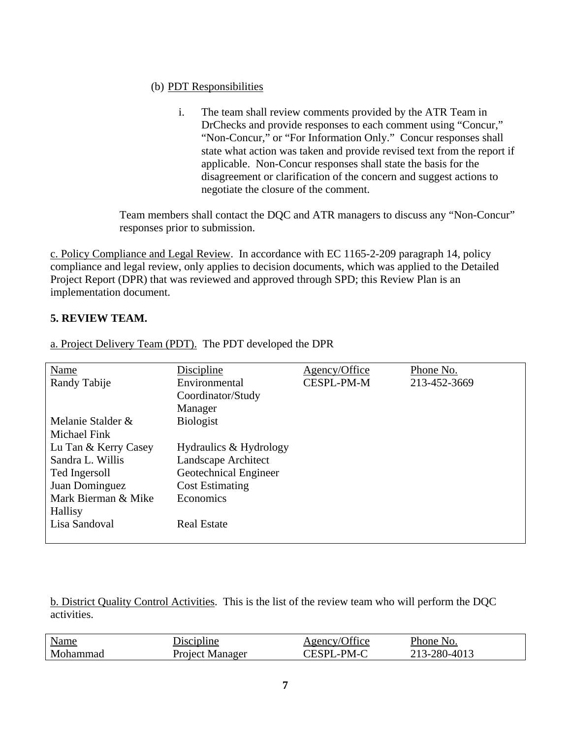### (b) PDT Responsibilities

i. The team shall review comments provided by the ATR Team in DrChecks and provide responses to each comment using "Concur," "Non-Concur," or "For Information Only." Concur responses shall state what action was taken and provide revised text from the report if applicable. Non-Concur responses shall state the basis for the disagreement or clarification of the concern and suggest actions to negotiate the closure of the comment.

Team members shall contact the DQC and ATR managers to discuss any "Non-Concur" responses prior to submission.

c. Policy Compliance and Legal Review. In accordance with EC 1165-2-209 paragraph 14, policy compliance and legal review, only applies to decision documents, which was applied to the Detailed Project Report (DPR) that was reviewed and approved through SPD; this Review Plan is an implementation document.

### **5. REVIEW TEAM.**

| Name                 | <b>Discipline</b>      | Agency/Office     | Phone No.    |
|----------------------|------------------------|-------------------|--------------|
| Randy Tabije         | Environmental          | <b>CESPL-PM-M</b> | 213-452-3669 |
|                      | Coordinator/Study      |                   |              |
|                      | Manager                |                   |              |
| Melanie Stalder &    | <b>Biologist</b>       |                   |              |
| <b>Michael Fink</b>  |                        |                   |              |
| Lu Tan & Kerry Casey | Hydraulics & Hydrology |                   |              |
| Sandra L. Willis     | Landscape Architect    |                   |              |
| Ted Ingersoll        | Geotechnical Engineer  |                   |              |
| Juan Dominguez       | <b>Cost Estimating</b> |                   |              |
| Mark Bierman & Mike  | Economics              |                   |              |
| <b>Hallisy</b>       |                        |                   |              |
| Lisa Sandoval        | <b>Real Estate</b>     |                   |              |
|                      |                        |                   |              |

a. Project Delivery Team (PDT). The PDT developed the DPR

b. District Quality Control Activities. This is the list of the review team who will perform the DQC activities.

| Name<br>the contract of the contract of the contract of | Discipline             | Agency/Office | Phone No.    |
|---------------------------------------------------------|------------------------|---------------|--------------|
| Mohammad                                                | <b>Project Manager</b> | CESPL-PM-C    | 213-280-4013 |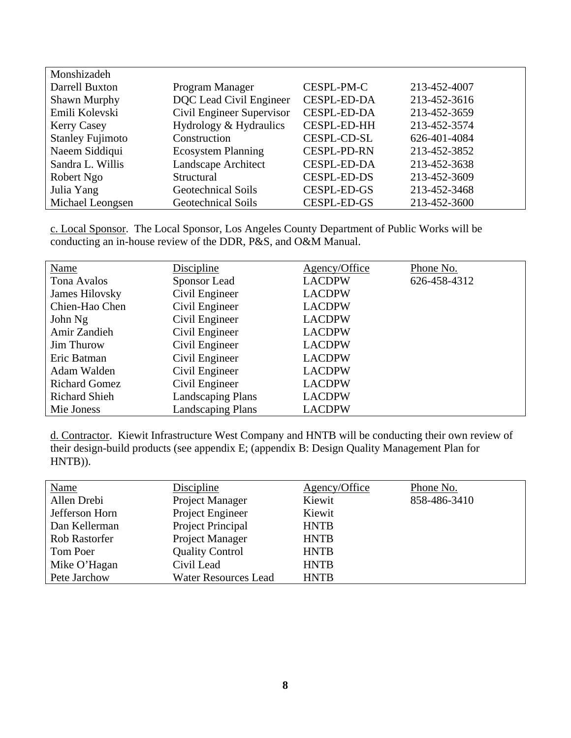| Monshizadeh             |                           |                    |              |  |
|-------------------------|---------------------------|--------------------|--------------|--|
| Darrell Buxton          | Program Manager           | CESPL-PM-C         | 213-452-4007 |  |
| Shawn Murphy            | DQC Lead Civil Engineer   | <b>CESPL-ED-DA</b> | 213-452-3616 |  |
| Emili Kolevski          | Civil Engineer Supervisor | <b>CESPL-ED-DA</b> | 213-452-3659 |  |
| <b>Kerry Casey</b>      | Hydrology & Hydraulics    | <b>CESPL-ED-HH</b> | 213-452-3574 |  |
| <b>Stanley Fujimoto</b> | Construction              | CESPL-CD-SL        | 626-401-4084 |  |
| Naeem Siddiqui          | <b>Ecosystem Planning</b> | <b>CESPL-PD-RN</b> | 213-452-3852 |  |
| Sandra L. Willis        | Landscape Architect       | <b>CESPL-ED-DA</b> | 213-452-3638 |  |
| Robert Ngo              | Structural                | <b>CESPL-ED-DS</b> | 213-452-3609 |  |
| Julia Yang              | <b>Geotechnical Soils</b> | <b>CESPL-ED-GS</b> | 213-452-3468 |  |
| Michael Leongsen        | Geotechnical Soils        | <b>CESPL-ED-GS</b> | 213-452-3600 |  |

c. Local Sponsor. The Local Sponsor, Los Angeles County Department of Public Works will be conducting an in-house review of the DDR, P&S, and O&M Manual.

| Name                 | Discipline               | Agency/Office | Phone No.    |
|----------------------|--------------------------|---------------|--------------|
| Tona Avalos          | Sponsor Lead             | <b>LACDPW</b> | 626-458-4312 |
| James Hilovsky       | Civil Engineer           | <b>LACDPW</b> |              |
| Chien-Hao Chen       | Civil Engineer           | <b>LACDPW</b> |              |
| John Ng              | Civil Engineer           | <b>LACDPW</b> |              |
| Amir Zandieh         | Civil Engineer           | <b>LACDPW</b> |              |
| <b>Jim Thurow</b>    | Civil Engineer           | <b>LACDPW</b> |              |
| Eric Batman          | Civil Engineer           | <b>LACDPW</b> |              |
| Adam Walden          | Civil Engineer           | <b>LACDPW</b> |              |
| <b>Richard Gomez</b> | Civil Engineer           | <b>LACDPW</b> |              |
| <b>Richard Shieh</b> | <b>Landscaping Plans</b> | <b>LACDPW</b> |              |
| Mie Joness           | <b>Landscaping Plans</b> | <b>LACDPW</b> |              |

d. Contractor. Kiewit Infrastructure West Company and HNTB will be conducting their own review of their design-build products (see appendix E; (appendix B: Design Quality Management Plan for HNTB)).

| <b>Name</b>          | Discipline                  | Agency/Office | Phone No.    |
|----------------------|-----------------------------|---------------|--------------|
| Allen Drebi          | Project Manager             | Kiewit        | 858-486-3410 |
| Jefferson Horn       | Project Engineer            | Kiewit        |              |
| Dan Kellerman        | Project Principal           | <b>HNTB</b>   |              |
| <b>Rob Rastorfer</b> | Project Manager             | <b>HNTB</b>   |              |
| Tom Poer             | <b>Quality Control</b>      | <b>HNTB</b>   |              |
| Mike O'Hagan         | Civil Lead                  | <b>HNTB</b>   |              |
| Pete Jarchow         | <b>Water Resources Lead</b> | <b>HNTB</b>   |              |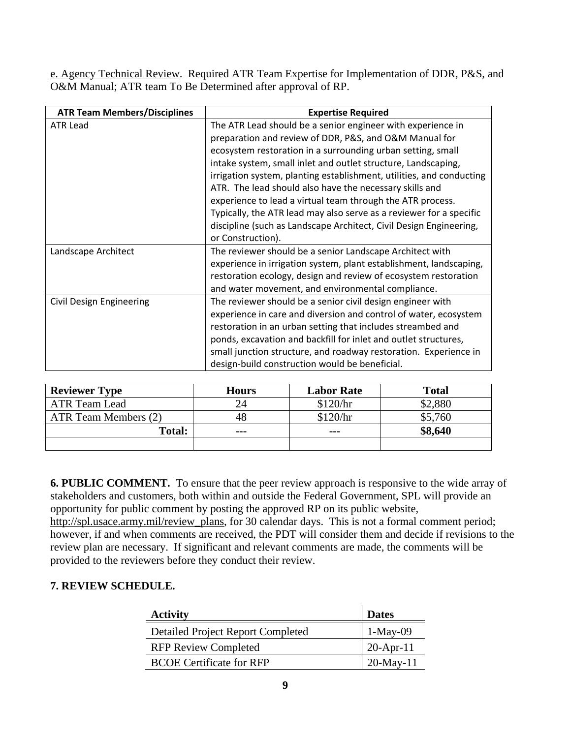e. Agency Technical Review. Required ATR Team Expertise for Implementation of DDR, P&S, and O&M Manual; ATR team To Be Determined after approval of RP.

| <b>ATR Team Members/Disciplines</b> | <b>Expertise Required</b>                                            |
|-------------------------------------|----------------------------------------------------------------------|
| <b>ATR Lead</b>                     | The ATR Lead should be a senior engineer with experience in          |
|                                     | preparation and review of DDR, P&S, and O&M Manual for               |
|                                     | ecosystem restoration in a surrounding urban setting, small          |
|                                     | intake system, small inlet and outlet structure, Landscaping,        |
|                                     | irrigation system, planting establishment, utilities, and conducting |
|                                     | ATR. The lead should also have the necessary skills and              |
|                                     | experience to lead a virtual team through the ATR process.           |
|                                     | Typically, the ATR lead may also serve as a reviewer for a specific  |
|                                     | discipline (such as Landscape Architect, Civil Design Engineering,   |
|                                     | or Construction).                                                    |
| Landscape Architect                 | The reviewer should be a senior Landscape Architect with             |
|                                     | experience in irrigation system, plant establishment, landscaping,   |
|                                     | restoration ecology, design and review of ecosystem restoration      |
|                                     | and water movement, and environmental compliance.                    |
| Civil Design Engineering            | The reviewer should be a senior civil design engineer with           |
|                                     | experience in care and diversion and control of water, ecosystem     |
|                                     | restoration in an urban setting that includes streambed and          |
|                                     | ponds, excavation and backfill for inlet and outlet structures,      |
|                                     | small junction structure, and roadway restoration. Experience in     |
|                                     | design-build construction would be beneficial.                       |

| <b>Reviewer Type</b> | <b>Hours</b> | <b>Labor Rate</b> | <b>Total</b> |
|----------------------|--------------|-------------------|--------------|
| ATR Team Lead        | 24           | \$120/hr          | \$2,880      |
| ATR Team Members (2) | 48           | \$120/hr          | \$5,760      |
| <b>Total:</b>        | $- - -$      | $- - -$           | \$8,640      |
|                      |              |                   |              |

**6. PUBLIC COMMENT.** To ensure that the peer review approach is responsive to the wide array of stakeholders and customers, both within and outside the Federal Government, SPL will provide an opportunity for public comment by posting the approved RP on its public website, http://spl.usace.army.mil/review\_plans, for 30 calendar days. This is not a formal comment period; however, if and when comments are received, the PDT will consider them and decide if revisions to the review plan are necessary. If significant and relevant comments are made, the comments will be provided to the reviewers before they conduct their review.

### **7. REVIEW SCHEDULE.**

| <b>Activity</b>                          | <b>Dates</b>    |
|------------------------------------------|-----------------|
| <b>Detailed Project Report Completed</b> | $1-May-09$      |
| <b>RFP Review Completed</b>              | $20 - Apr - 11$ |
| <b>BCOE Certificate for RFP</b>          | $20$ -May-11    |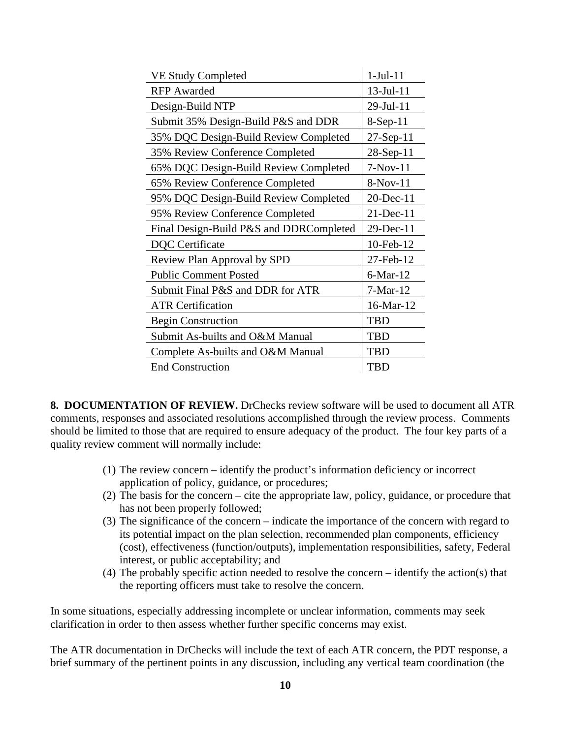| <b>VE Study Completed</b>               | $1-Jul-11$      |
|-----------------------------------------|-----------------|
| <b>RFP</b> Awarded                      | $13$ -Jul- $11$ |
| Design-Build NTP                        | 29-Jul-11       |
| Submit 35% Design-Build P&S and DDR     | $8-Sep-11$      |
| 35% DQC Design-Build Review Completed   | $27-Sep-11$     |
| 35% Review Conference Completed         | 28-Sep-11       |
| 65% DQC Design-Build Review Completed   | $7-Nov-11$      |
| 65% Review Conference Completed         | $8-Nov-11$      |
| 95% DQC Design-Build Review Completed   | 20-Dec-11       |
| 95% Review Conference Completed         | $21$ -Dec-11    |
| Final Design-Build P&S and DDRCompleted | 29-Dec-11       |
| <b>DQC</b> Certificate                  | 10-Feb-12       |
| Review Plan Approval by SPD             | 27-Feb-12       |
| <b>Public Comment Posted</b>            | $6$ -Mar-12     |
| Submit Final P&S and DDR for ATR        | $7-Mar-12$      |
| <b>ATR Certification</b>                | 16-Mar-12       |
| <b>Begin Construction</b>               | <b>TBD</b>      |
| Submit As-builts and O&M Manual         | TBD             |
| Complete As-builts and O&M Manual       | TBD             |
| <b>End Construction</b>                 | <b>TBD</b>      |

**8. DOCUMENTATION OF REVIEW.** DrChecks review software will be used to document all ATR comments, responses and associated resolutions accomplished through the review process. Comments should be limited to those that are required to ensure adequacy of the product. The four key parts of a quality review comment will normally include:

- (1) The review concern identify the product's information deficiency or incorrect application of policy, guidance, or procedures;
- (2) The basis for the concern cite the appropriate law, policy, guidance, or procedure that has not been properly followed;
- (3) The significance of the concern indicate the importance of the concern with regard to its potential impact on the plan selection, recommended plan components, efficiency (cost), effectiveness (function/outputs), implementation responsibilities, safety, Federal interest, or public acceptability; and
- (4) The probably specific action needed to resolve the concern identify the action(s) that the reporting officers must take to resolve the concern.

In some situations, especially addressing incomplete or unclear information, comments may seek clarification in order to then assess whether further specific concerns may exist.

The ATR documentation in DrChecks will include the text of each ATR concern, the PDT response, a brief summary of the pertinent points in any discussion, including any vertical team coordination (the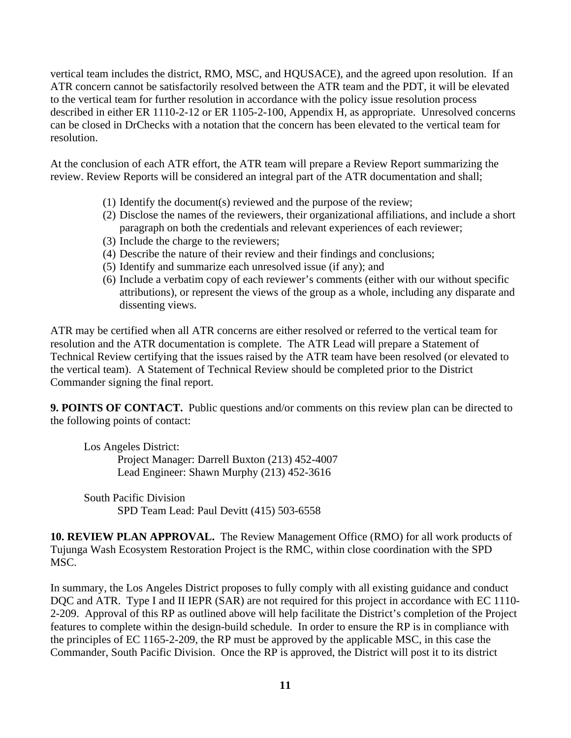vertical team includes the district, RMO, MSC, and HQUSACE), and the agreed upon resolution. If an ATR concern cannot be satisfactorily resolved between the ATR team and the PDT, it will be elevated to the vertical team for further resolution in accordance with the policy issue resolution process described in either ER 1110-2-12 or ER 1105-2-100, Appendix H, as appropriate. Unresolved concerns can be closed in DrChecks with a notation that the concern has been elevated to the vertical team for resolution.

At the conclusion of each ATR effort, the ATR team will prepare a Review Report summarizing the review. Review Reports will be considered an integral part of the ATR documentation and shall;

- (1) Identify the document(s) reviewed and the purpose of the review;
- (2) Disclose the names of the reviewers, their organizational affiliations, and include a short paragraph on both the credentials and relevant experiences of each reviewer;
- (3) Include the charge to the reviewers;
- (4) Describe the nature of their review and their findings and conclusions;
- (5) Identify and summarize each unresolved issue (if any); and
- (6) Include a verbatim copy of each reviewer's comments (either with our without specific attributions), or represent the views of the group as a whole, including any disparate and dissenting views.

ATR may be certified when all ATR concerns are either resolved or referred to the vertical team for resolution and the ATR documentation is complete. The ATR Lead will prepare a Statement of Technical Review certifying that the issues raised by the ATR team have been resolved (or elevated to the vertical team). A Statement of Technical Review should be completed prior to the District Commander signing the final report.

**9. POINTS OF CONTACT.** Public questions and/or comments on this review plan can be directed to the following points of contact:

Los Angeles District: Project Manager: Darrell Buxton (213) 452-4007 Lead Engineer: Shawn Murphy (213) 452-3616

South Pacific Division SPD Team Lead: Paul Devitt (415) 503-6558

**10. REVIEW PLAN APPROVAL.** The Review Management Office (RMO) for all work products of Tujunga Wash Ecosystem Restoration Project is the RMC, within close coordination with the SPD MSC.

In summary, the Los Angeles District proposes to fully comply with all existing guidance and conduct DQC and ATR. Type I and II IEPR (SAR) are not required for this project in accordance with EC 1110-2-209. Approval of this RP as outlined above will help facilitate the District's completion of the Project features to complete within the design-build schedule. In order to ensure the RP is in compliance with the principles of EC 1165-2-209, the RP must be approved by the applicable MSC, in this case the Commander, South Pacific Division. Once the RP is approved, the District will post it to its district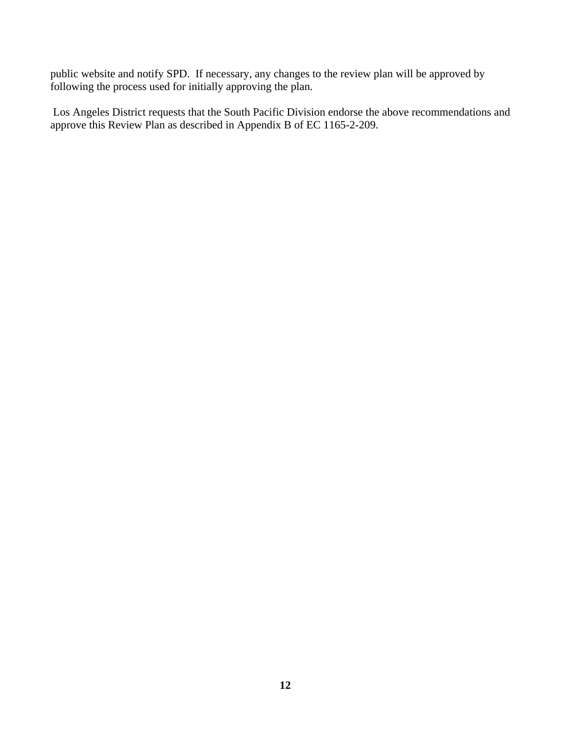public website and notify SPD. If necessary, any changes to the review plan will be approved by following the process used for initially approving the plan.

 Los Angeles District requests that the South Pacific Division endorse the above recommendations and approve this Review Plan as described in Appendix B of EC 1165-2-209.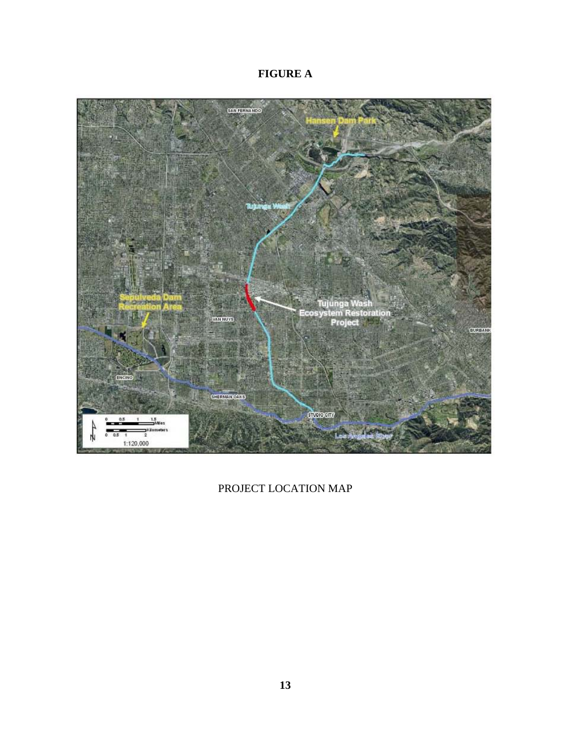# **FIGURE A**



PROJECT LOCATION MAP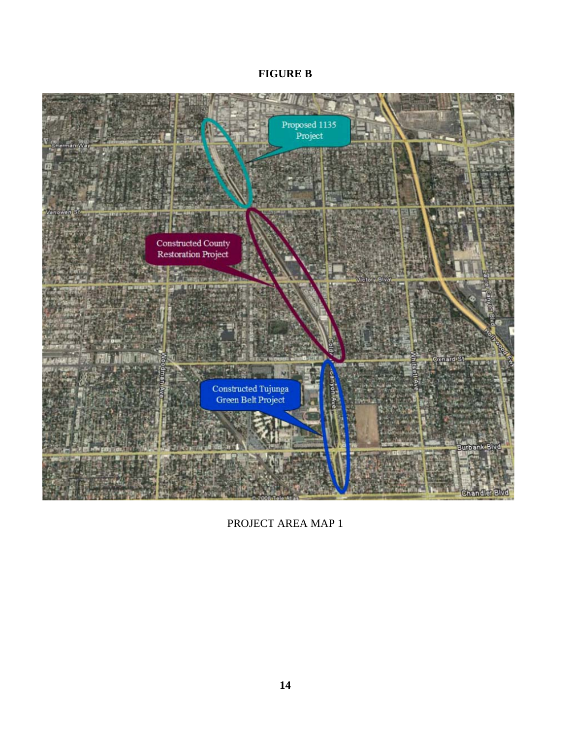# **FIGURE B**



PROJECT AREA MAP 1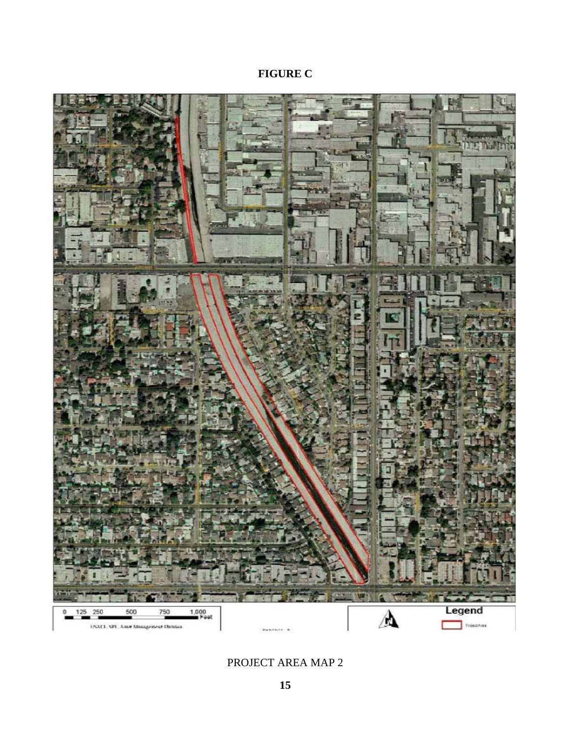# **FIGURE C**



# PROJECT AREA MAP 2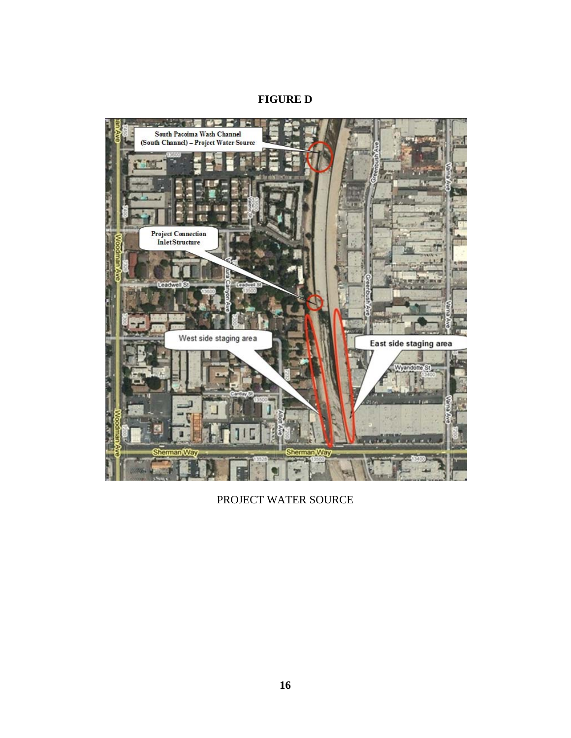## **FIGURE D**



PROJECT WATER SOURCE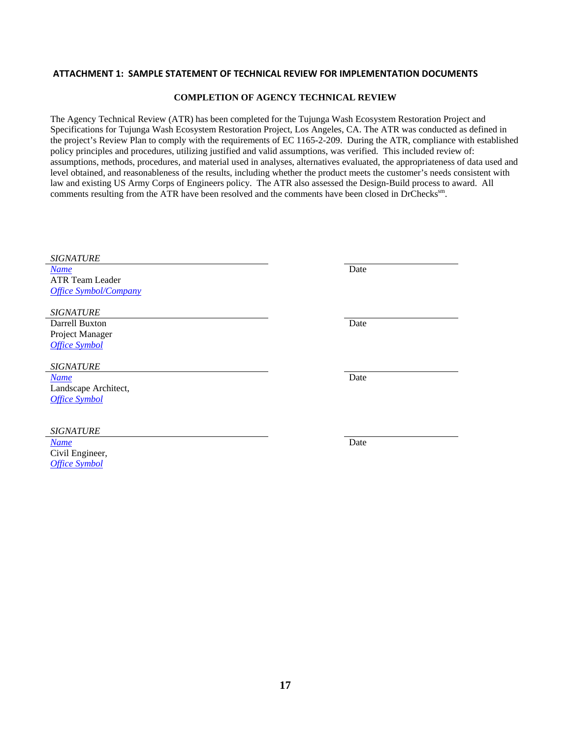#### **ATTACHMENT 1: SAMPLE STATEMENT OF TECHNICAL REVIEW FOR IMPLEMENTATION DOCUMENTS**

#### **COMPLETION OF AGENCY TECHNICAL REVIEW**

The Agency Technical Review (ATR) has been completed for the Tujunga Wash Ecosystem Restoration Project and Specifications for Tujunga Wash Ecosystem Restoration Project, Los Angeles, CA. The ATR was conducted as defined in the project's Review Plan to comply with the requirements of EC 1165-2-209. During the ATR, compliance with established policy principles and procedures, utilizing justified and valid assumptions, was verified. This included review of: assumptions, methods, procedures, and material used in analyses, alternatives evaluated, the appropriateness of data used and level obtained, and reasonableness of the results, including whether the product meets the customer's needs consistent with law and existing US Army Corps of Engineers policy. The ATR also assessed the Design-Build process to award. All comments resulting from the ATR have been resolved and the comments have been closed in DrChecks<sup>sm</sup>.

| <b>SIGNATURE</b>             |      |
|------------------------------|------|
| <b>Name</b>                  | Date |
| <b>ATR Team Leader</b>       |      |
| <b>Office Symbol/Company</b> |      |
|                              |      |
| <b>SIGNATURE</b>             |      |
| Darrell Buxton               | Date |
| Project Manager              |      |
| <b>Office Symbol</b>         |      |
|                              |      |
| <b>SIGNATURE</b>             |      |
| <b>Name</b>                  | Date |
| Landscape Architect,         |      |
| <b>Office Symbol</b>         |      |
|                              |      |
|                              |      |
| <b>SIGNATURE</b>             |      |
| <b>Name</b>                  | Date |
| Civil Engineer,              |      |
| <b>Office Symbol</b>         |      |
|                              |      |
|                              |      |
|                              |      |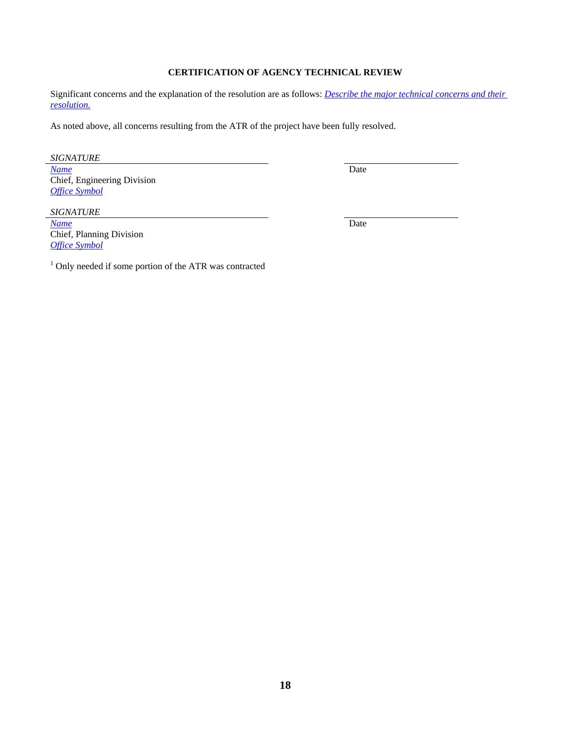### **CERTIFICATION OF AGENCY TECHNICAL REVIEW**

Significant concerns and the explanation of the resolution are as follows: *Describe the major technical concerns and their resolution.*

As noted above, all concerns resulting from the ATR of the project have been fully resolved.

*SIGNATURE*

*Name* Date **Date** Chief, Engineering Division *Office Symbol*

*SIGNATURE*

*Name* Date **Date** Chief, Planning Division *Office Symbol*

<sup>1</sup> Only needed if some portion of the ATR was contracted